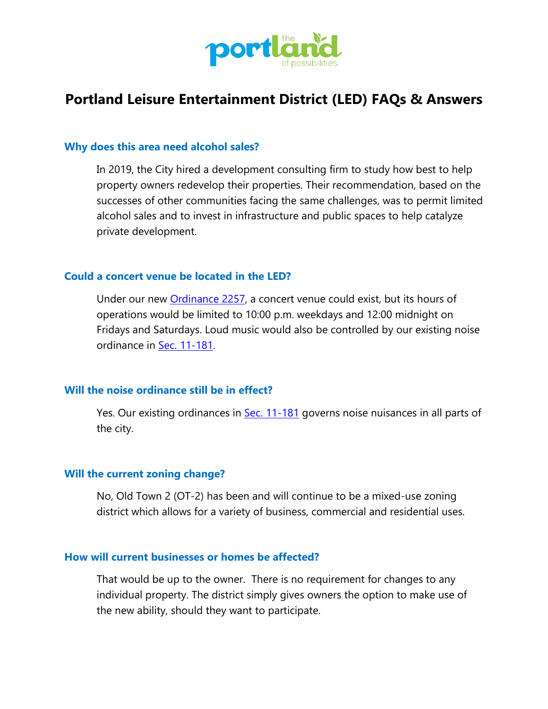

# **Portland Leisure Entertainment District (LED) FAQs & Answers**

#### **Why does this area need alcohol sales?**

In 2019, the City hired a development consulting firm to study how best to help property owners redevelop their properties. Their recommendation, based on the successes of other communities facing the same challenges, was to permit limited alcohol sales and to invest in infrastructure and public spaces to help catalyze private development.

### **Could a concert venue be located in the LED?**

Under our new [Ordinance 2257,](http://www.portlandtx.com/DocumentCenter/View/3948/Ordinance-2257?bidId=) a concert venue could exist, but its hours of operations would be limited to 10:00 p.m. weekdays and 12:00 midnight on Fridays and Saturdays. Loud music would also be controlled by our existing noise ordinance in [Sec. 11-181.](https://library.municode.com/tx/portland/codes/code_of_ordinances?nodeId=COOR_CH11MIOFPR_ARTXNOCO)

## **Will the noise ordinance still be in effect?**

Yes. Our existing ordinances in [Sec. 11-181](https://library.municode.com/tx/portland/codes/code_of_ordinances?nodeId=COOR_CH11MIOFPR_ARTXNOCO) governs noise nuisances in all parts of the city.

#### **Will the current zoning change?**

No, Old Town 2 (OT-2) has been and will continue to be a mixed-use zoning district which allows for a variety of business, commercial and residential uses.

## **How will current businesses or homes be affected?**

That would be up to the owner. There is no requirement for changes to any individual property. The district simply gives owners the option to make use of the new ability, should they want to participate.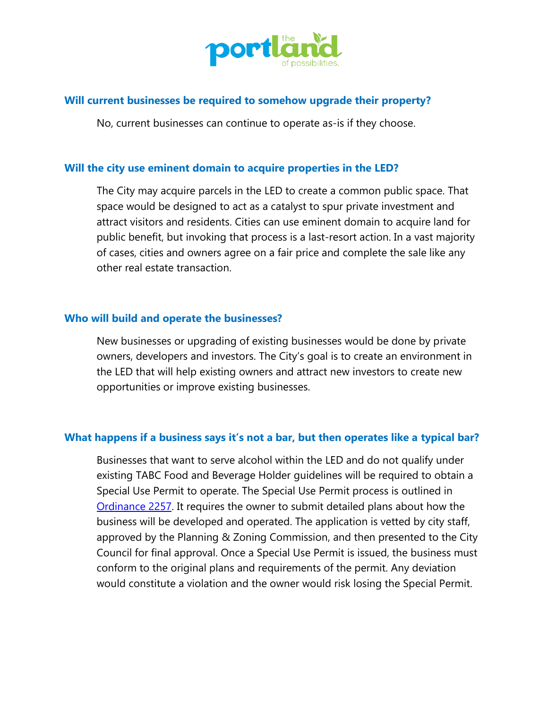

## **Will current businesses be required to somehow upgrade their property?**

No, current businesses can continue to operate as-is if they choose.

## **Will the city use eminent domain to acquire properties in the LED?**

The City may acquire parcels in the LED to create a common public space. That space would be designed to act as a catalyst to spur private investment and attract visitors and residents. Cities can use eminent domain to acquire land for public benefit, but invoking that process is a last-resort action. In a vast majority of cases, cities and owners agree on a fair price and complete the sale like any other real estate transaction.

#### **Who will build and operate the businesses?**

New businesses or upgrading of existing businesses would be done by private owners, developers and investors. The City's goal is to create an environment in the LED that will help existing owners and attract new investors to create new opportunities or improve existing businesses.

## **What happens if a business says it's not a bar, but then operates like a typical bar?**

Businesses that want to serve alcohol within the LED and do not qualify under existing TABC Food and Beverage Holder guidelines will be required to obtain a Special Use Permit to operate. The Special Use Permit process is outlined in [Ordinance 2257.](http://www.portlandtx.com/DocumentCenter/View/3948/Ordinance-2257?bidId=) It requires the owner to submit detailed plans about how the business will be developed and operated. The application is vetted by city staff, approved by the Planning & Zoning Commission, and then presented to the City Council for final approval. Once a Special Use Permit is issued, the business must conform to the original plans and requirements of the permit. Any deviation would constitute a violation and the owner would risk losing the Special Permit.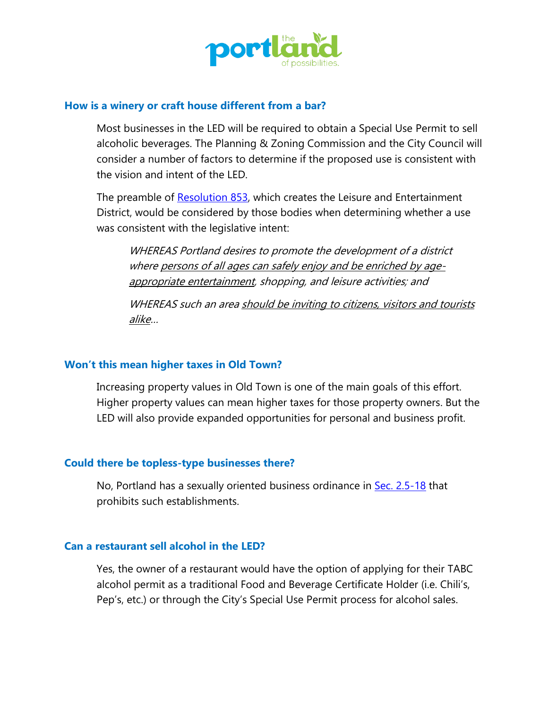

#### **How is a winery or craft house different from a bar?**

Most businesses in the LED will be required to obtain a Special Use Permit to sell alcoholic beverages. The Planning & Zoning Commission and the City Council will consider a number of factors to determine if the proposed use is consistent with the vision and intent of the LED.

The preamble of [Resolution 853,](http://www.portlandtx.com/DocumentCenter/View/3951/Resolution-853?bidId=) which creates the Leisure and Entertainment District, would be considered by those bodies when determining whether a use was consistent with the legislative intent:

WHEREAS Portland desires to promote the development of a district where persons of all ages can safely enjoy and be enriched by ageappropriate entertainment, shopping, and leisure activities; and

WHEREAS such an area should be inviting to citizens, visitors and tourists alike…

## **Won't this mean higher taxes in Old Town?**

Increasing property values in Old Town is one of the main goals of this effort. Higher property values can mean higher taxes for those property owners. But the LED will also provide expanded opportunities for personal and business profit.

## **Could there be topless-type businesses there?**

No, Portland has a sexually oriented business ordinance in [Sec. 2.5-18](https://library.municode.com/tx/portland/codes/code_of_ordinances?nodeId=COOR_CH2_1-2AM_ARTIIIADENBU) that prohibits such establishments.

#### **Can a restaurant sell alcohol in the LED?**

Yes, the owner of a restaurant would have the option of applying for their TABC alcohol permit as a traditional Food and Beverage Certificate Holder (i.e. Chili's, Pep's, etc.) or through the City's Special Use Permit process for alcohol sales.